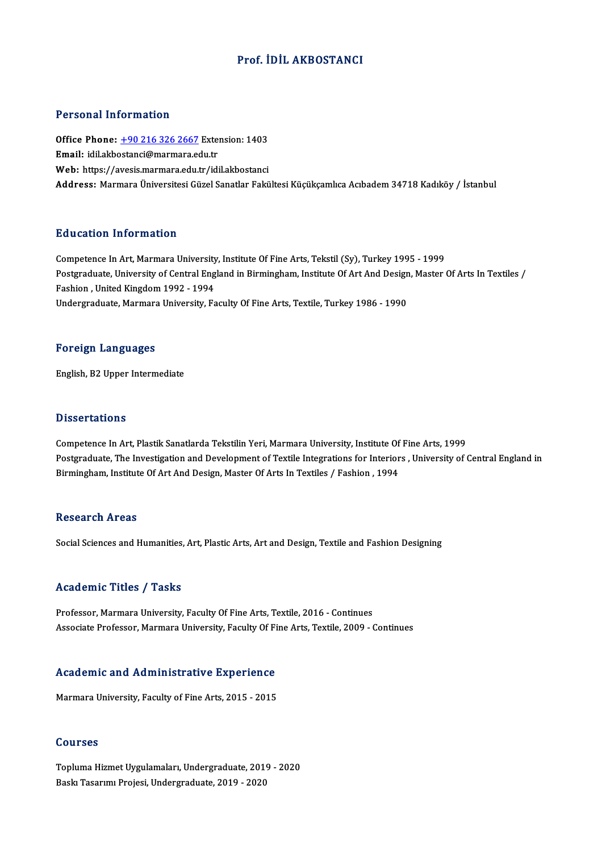# Prof. İDİL AKBOSTANCI

#### Personal Information

Personal Information<br>Office Phone: <u>+90 216 326 2667</u> Extension: 1403<br>Email: idilakbestansi@marmare.edu.tr Procedula Information<br>Office Phone: <u>+90 216 326 2667</u> Exter<br>Email: idil.akb[ostanci@marmara.ed](tel:+90 216 326 2667)u.tr Office Phone: <u>+90 216 326 2667</u> Extension: 1403<br>Email: idil.akbostanci@marmara.edu.tr<br>Web: https://avesis.marmara.edu.tr/idil.akbostanci<br>Address: Marmara Universitesi Gürel Sanatlar Falsi Email: idil.akbostanci@marmara.edu.tr<br>Web: https://avesis.marmara.edu.tr/idil.akbostanci<br>Address: Marmara Üniversitesi Güzel Sanatlar Fakültesi Küçükçamlıca Acıbadem 34718 Kadıköy / İstanbul

### Education Information

Competence In Art, Marmara University, Institute Of Fine Arts, Tekstil (Sy), Turkey 1995 - 1999 Pulusation Timor indeform<br>Competence In Art, Marmara University, Institute Of Fine Arts, Tekstil (Sy), Turkey 1995 - 1999<br>Postgraduate, University of Central England in Birmingham, Institute Of Art And Design, Master Of Ar Fashion , United Kingdom 1992 - 1994<br>Undergraduate, Marmara University, Faculty Of Fine Arts, Textile, Turkey 1986 - 1990 Postgraduate, University of Central England in Birmingham, Institute Of Art And Design<br>Fashion , United Kingdom 1992 - 1994<br>Undergraduate, Marmara University, Faculty Of Fine Arts, Textile, Turkey 1986 - 1990

#### Foreign Languages

English,B2Upper Intermediate

### **Dissertations**

Competence In Art, Plastik Sanatlarda Tekstilin Yeri, Marmara University, Institute Of Fine Arts, 1999 Phoses cacroms<br>Competence In Art, Plastik Sanatlarda Tekstilin Yeri, Marmara University, Institute Of Fine Arts, 1999<br>Pestgraduate, The Investigation and Development of Textile Integrations for Interiors , University of Ce Competence In Art, Plastik Sanatlarda Tekstilin Yeri, Marmara University, Institute Of<br>Postgraduate, The Investigation and Development of Textile Integrations for Interior<br>Birmingham, Institute Of Art And Design, Master Of Birmingham, Institute Of Art And Design, Master Of Arts In Textiles / Fashion , 1994<br>Research Areas

Social Sciences and Humanities, Art, Plastic Arts, Art and Design, Textile and Fashion Designing

#### Academic Titles / Tasks

Professor, Marmara University, Faculty Of Fine Arts, Textile, 2016 - Continues Associate Professor, Marmara University, Faculty Of Fine Arts, Textile, 2009 - Continues

# Associate Professor, Marmara University, Pactity Of Pi<br>Academic and Administrative Experience Academic and Administrative Experience<br>Marmara University, Faculty of Fine Arts, 2015 - 2015

Marmara University, Faculty of Fine Arts, 2015 - 2015<br>Courses

Topluma Hizmet Uygulamaları, Undergraduate, 2019 - 2020 Baskı Tasarımı Projesi, Undergraduate, 2019 - 2020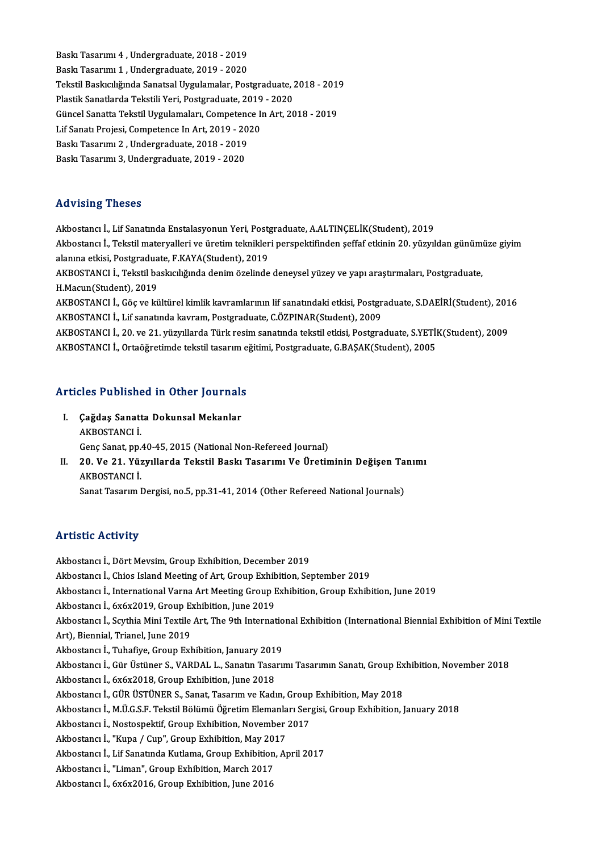er<br>Baskı Tasarımı 4 , Undergraduate, 2018 - 2019<br>Baskı Tasarımı 1 , Undergraduate, 2019 - 2020 Baskı Tasarımı 4 , Undergraduate, 2018 - 2019<br>Baskı Tasarımı 1 , Undergraduate, 2019 - 2020<br>Tekstil Baskısılığında Sanatçel Uygulamalar, Bes Baskı Tasarımı 1 , Undergraduate, 2019 - 2020<br>Tekstil Baskıcılığında Sanatsal Uygulamalar, Postgraduate, 2018 - 2019 Baskı Tasarımı 1 , Undergraduate, 2019 - 2020<br>Tekstil Baskıcılığında Sanatsal Uygulamalar, Postgraduate, 2<br>Plastik Sanatlarda Tekstili Yeri, Postgraduate, 2019 - 2020<br>Güngel Sanatta Tekstil Uygulamaları, Competance In Art, Tekstil Baskıcılığında Sanatsal Uygulamalar, Postgraduate, 2018 - 201<br>Plastik Sanatlarda Tekstili Yeri, Postgraduate, 2019 - 2020<br>Güncel Sanatta Tekstil Uygulamaları, Competence In Art, 2018 - 2019<br>Lif Sanatı Prejesi, Comp Plastik Sanatlarda Tekstili Yeri, Postgraduate, 2019<br>Güncel Sanatta Tekstil Uygulamaları, Competence I<br>Lif Sanatı Projesi, Competence In Art, 2019 - 2020<br>Paskı Tasarımı 2. Undergraduata 2018 - 2019 Güncel Sanatta Tekstil Uygulamaları, Competenc<br>Lif Sanatı Projesi, Competence In Art, 2019 - 20<br>Baskı Tasarımı 2 , Undergraduate, 2018 - 2019<br>Baskı Tasarımı 2, Undergraduate, 2019 - 2020 Lif Sanatı Projesi, Competence In Art, 2019 - 2020<br>Baskı Tasarımı 2 , Undergraduate, 2018 - 2019<br>Baskı Tasarımı 3, Undergraduate, 2019 - 2020

# Advising Theses

Advising Theses<br>Akbostancı İ., Lif Sanatında Enstalasyonun Yeri, Postgraduate, A.ALTINÇELİK(Student), 2019<br>Akbostancı İ. Tekstil matervalları ve ünetim teknikleri nerenektifinden seffef etkinin 20. vüryul rta vibrirg'i Hobocs<br>Akbostancı İ., Lif Sanatında Enstalasyonun Yeri, Postgraduate, A.ALTINÇELİK(Student), 2019<br>Akbostancı İ., Tekstil materyalleri ve üretim teknikleri perspektifinden şeffaf etkinin 20. yüzyıldan günümüze Akbostancı İ., Lif Sanatında Enstalasyonun Yeri, Post<sub>a</sub><br>Akbostancı İ., Tekstil materyalleri ve üretim teknikler<br>alanına etkisi, Postgraduate, F.KAYA(Student), 2019<br>AKROSTANCLİ, Tekstil baslasılığında danim özelinde Akbostancı İ., Tekstil materyalleri ve üretim teknikleri perspektifinden şeffaf etkinin 20. yüzyıldan günümı<br>alanına etkisi, Postgraduate, F.KAYA(Student), 2019<br>AKBOSTANCI İ., Tekstil baskıcılığında denim özelinde deneysel

alanına etkisi, Postgraduate, F.KAYA(Student), 2019<br>AKBOSTANCI İ., Tekstil baskıcılığında denim özelinde deneysel yüzey ve yapı araştırmaları, Postgraduate,<br>H.Macun(Student), 2019 AKBOSTANCI İ., Tekstil baskıcılığında denim özelinde deneysel yüzey ve yapı araştırmaları, Postgraduate,<br>H.Macun(Student), 2019<br>AKBOSTANCI İ., Göç ve kültürel kimlik kavramlarının lif sanatındaki etkisi, Postgraduate, S.DA

H.Macun(Student), 2019<br>AKBOSTANCI İ., Göç ve kültürel kimlik kavramlarının lif sanatındaki etkisi, Postgr<br>AKBOSTANCI İ., Lif sanatında kavram, Postgraduate, C.ÖZPINAR(Student), 2009<br>AKBOSTANCI İ. 30. ve 31. vüryıllarda Tür AKBOSTANCI İ., Göç ve kültürel kimlik kavramlarının lif sanatındaki etkisi, Postgraduate, S.DAEİRİ(Student), 201<br>AKBOSTANCI İ., Lif sanatında kavram, Postgraduate, C.ÖZPINAR(Student), 2009<br>AKBOSTANCI İ., 20. ve 21. yüzyıll

AKBOSTANCI İ., Lif sanatında kavram, Postgraduate, C.ÖZPINAR(Student), 2009<br>AKBOSTANCI İ., 20. ve 21. yüzyıllarda Türk resim sanatında tekstil etkisi, Postgraduate, S.YETİK(Student), 2009<br>AKBOSTANCI İ., Ortaöğretimde tekst

# ARBOSTANCTL, Ortaogreumde tekstil tasarim e<br>Articles Published in Other Journals

- **rticles Published in Other Journals<br>I. Çağdaş Sanatta Dokunsal Mekanlar**<br>AKROSTANCLİ I. Çağdaş Sanatta Dokunsal Mekanlar<br>AKBOSTANCI İ. Genç Sanat, pp.40-45, 2015 (National Non-Refereed Journal) AKBOSTANCI İ.<br>Genç Sanat, pp.40-45, 2015 (National Non-Refereed Journal)<br>II. 20. Ve 21. Yüzyıllarda Tekstil Baskı Tasarımı Ve Üretiminin Değişen Tanımı<br>AKROSTANCLİ
- Genç Sanat, pp.<br>20. Ve 21. Yüz<br>AKBOSTANCI İ.<br>Sanat Tasarım I 20. Ve 21. Yüzyıllarda Tekstil Baskı Tasarımı Ve Üretiminin Değişen Ta<br>AKBOSTANCI İ.<br>Sanat Tasarım Dergisi, no.5, pp.31-41, 2014 (Other Refereed National Journals) Sanat Tasarım Dergisi, no.5, pp.31-41, 2014 (Other Refereed National Journals)<br>Artistic Activity

Akbostancı İ., Dört Mevsim, Group Exhibition, December 2019 Akbostancı İ., Chios Island Meeting of Art, Group Exhibition, September 2019 Akbostancı İ., Dört Mevsim, Group Exhibition, December 2019<br>Akbostancı İ., Chios Island Meeting of Art, Group Exhibition, September 2019<br>Akbostancı İ., International Varna Art Meeting Group Exhibition, Group Exhibition, Ju Akbostancı İ., Chios Island Meeting of Art, Group Exhibition<br>Akbostancı İ., International Varna Art Meeting Group I<br>Akbostancı İ., 6x6x2019, Group Exhibition, June 2019<br>Akbostancı İ. Seythia Mini Teytile Art, The 8th Inter Akbostancı İ., International Varna Art Meeting Group Exhibition, Group Exhibition, June 2019<br>Akbostancı İ., 6x6x2019, Group Exhibition, June 2019<br>Akbostancı İ., Scythia Mini Textile Art, The 9th International Exhibition (I Akbostancı İ., 6x6x2019, Group Exhibition, June 2019<br>Akbostancı İ., Scythia Mini Textile Art, The 9th Internatio<br>Art), Biennial, Trianel, June 2019<br>Akbostancı İ., Tuhafive, Group Exhibition, Ianuary 2019 Akbostancı İ., Scythia Mini Textile Art, The 9th Internatio<br>Art), Biennial, Trianel, June 2019<br>Akbostancı İ., Tuhafiye, Group Exhibition, January 2019<br>Akbostancı İ., Gür Üstüner S. VAPDAL L. Sonstin Tessivi Art), Biennial, Trianel, June 2019<br>Akbostancı İ., Tuhafiye, Group Exhibition, January 2019<br>Akbostancı İ., Gür Üstüner S., VARDAL L., Sanatın Tasarımı Tasarımın Sanatı, Group Exhibition, November 2018<br>Akbostancı İ. Su6x2018 Akbostancı İ., 6x6x2018, Group Exhibition, June 2018<br>Akbostancı İ., GÜR ÜSTÜNER S., Sanat, Tasarım ve Kadın, Group Exhibition, May 2018 Akbostancı İ., Gür Üstüner S., VARDAL L., Sanatın Tasarımı Tasarımın Sanatı, Group Ex<br>Akbostancı İ., 6x6x2018, Group Exhibition, June 2018<br>Akbostancı İ., GÜR ÜSTÜNER S., Sanat, Tasarım ve Kadın, Group Exhibition, May 2018<br> Akbostancı İ.,M.Ü.G.S.F.TekstilBölümüÖğretimElemanlarıSergisi,GroupExhibition, January2018 Akbostancı İ., GÜR ÜSTÜNER S., Sanat, Tasarım ve Kadın, Group<br>Akbostancı İ., M.Ü.G.S.F. Tekstil Bölümü Öğretim Elemanları Ser;<br>Akbostancı İ., Nostospektif, Group Exhibition, November 2017<br>Akbostancı İ. "Kuna / Gun" Group E Akbostancı İ., M.Ü.G.S.F. Tekstil Bölümü Öğretim Elemanla<br>Akbostancı İ., Nostospektif, Group Exhibition, November<br>Akbostancı İ., "Kupa / Cup", Group Exhibition, May 2017<br>Akbostancı İ. Lif Sanatında Kutlama Group Exhibition Akbostancı İ., Nostospektif, Group Exhibition, November 2017<br>Akbostancı İ., "Kupa / Cup", Group Exhibition, May 2017<br>Akbostancı İ., Lif Sanatında Kutlama, Group Exhibition, April 2017<br>Akbostancı İ. "Liman", Croup Exhibitio Akbostancı İ., "Kupa / Cup", Group Exhibition, May 201<br>Akbostancı İ., Lif Sanatında Kutlama, Group Exhibition<br>Akbostancı İ., "Liman", Group Exhibition, March 2017<br>Akbostancı İ., Sv6v2016, Group Exhibition, June 2016 Akbostancı İ., Lif Sanatında Kutlama, Group Exhibitior<br>Akbostancı İ., "Liman", Group Exhibition, March 2017<br>Akbostancı İ., 6x6x2016, Group Exhibition, June 2016